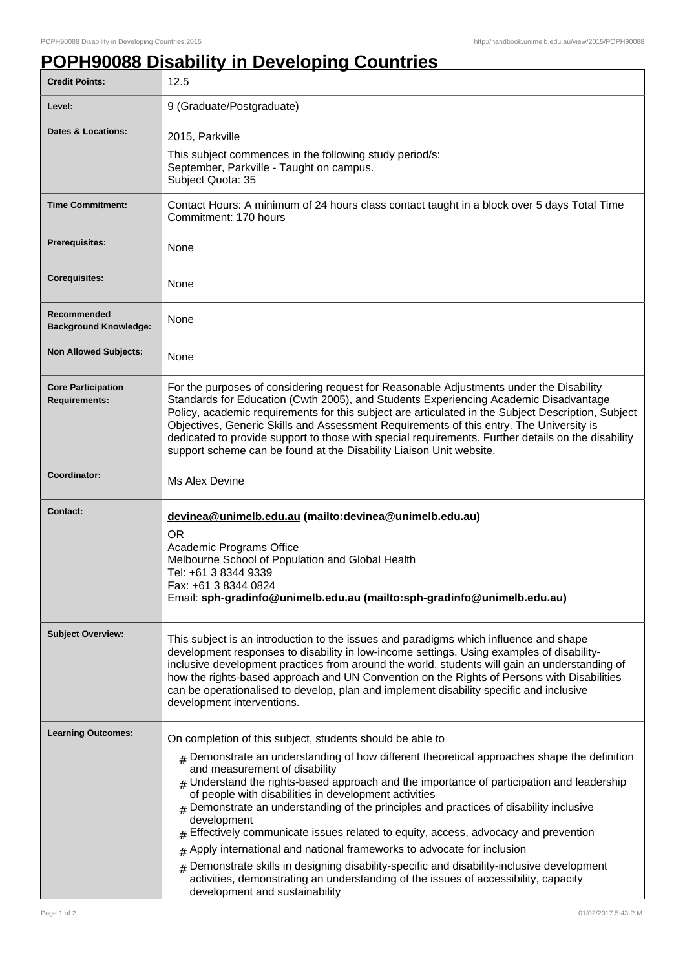## **POPH90088 Disability in Developing Countries**

| <b>Credit Points:</b>                             | 12.5                                                                                                                                                                                                                                                                                                                                                                                                                                                                                                                                                                                                                                                                                                                                                                                                                               |
|---------------------------------------------------|------------------------------------------------------------------------------------------------------------------------------------------------------------------------------------------------------------------------------------------------------------------------------------------------------------------------------------------------------------------------------------------------------------------------------------------------------------------------------------------------------------------------------------------------------------------------------------------------------------------------------------------------------------------------------------------------------------------------------------------------------------------------------------------------------------------------------------|
| Level:                                            | 9 (Graduate/Postgraduate)                                                                                                                                                                                                                                                                                                                                                                                                                                                                                                                                                                                                                                                                                                                                                                                                          |
| Dates & Locations:                                | 2015, Parkville<br>This subject commences in the following study period/s:<br>September, Parkville - Taught on campus.<br>Subject Quota: 35                                                                                                                                                                                                                                                                                                                                                                                                                                                                                                                                                                                                                                                                                        |
| <b>Time Commitment:</b>                           | Contact Hours: A minimum of 24 hours class contact taught in a block over 5 days Total Time<br>Commitment: 170 hours                                                                                                                                                                                                                                                                                                                                                                                                                                                                                                                                                                                                                                                                                                               |
| <b>Prerequisites:</b>                             | None                                                                                                                                                                                                                                                                                                                                                                                                                                                                                                                                                                                                                                                                                                                                                                                                                               |
| <b>Corequisites:</b>                              | None                                                                                                                                                                                                                                                                                                                                                                                                                                                                                                                                                                                                                                                                                                                                                                                                                               |
| Recommended<br><b>Background Knowledge:</b>       | None                                                                                                                                                                                                                                                                                                                                                                                                                                                                                                                                                                                                                                                                                                                                                                                                                               |
| <b>Non Allowed Subjects:</b>                      | None                                                                                                                                                                                                                                                                                                                                                                                                                                                                                                                                                                                                                                                                                                                                                                                                                               |
| <b>Core Participation</b><br><b>Requirements:</b> | For the purposes of considering request for Reasonable Adjustments under the Disability<br>Standards for Education (Cwth 2005), and Students Experiencing Academic Disadvantage<br>Policy, academic requirements for this subject are articulated in the Subject Description, Subject<br>Objectives, Generic Skills and Assessment Requirements of this entry. The University is<br>dedicated to provide support to those with special requirements. Further details on the disability<br>support scheme can be found at the Disability Liaison Unit website.                                                                                                                                                                                                                                                                      |
| Coordinator:                                      | Ms Alex Devine                                                                                                                                                                                                                                                                                                                                                                                                                                                                                                                                                                                                                                                                                                                                                                                                                     |
| <b>Contact:</b>                                   | devinea@unimelb.edu.au (mailto:devinea@unimelb.edu.au)<br><b>OR</b><br>Academic Programs Office<br>Melbourne School of Population and Global Health<br>Tel: +61 3 8344 9339<br>Fax: +61 3 8344 0824<br>Email: sph-gradinfo@unimelb.edu.au (mailto:sph-gradinfo@unimelb.edu.au)                                                                                                                                                                                                                                                                                                                                                                                                                                                                                                                                                     |
| <b>Subject Overview:</b>                          | This subject is an introduction to the issues and paradigms which influence and shape<br>development responses to disability in low-income settings. Using examples of disability-<br>inclusive development practices from around the world, students will gain an understanding of<br>how the rights-based approach and UN Convention on the Rights of Persons with Disabilities<br>can be operationalised to develop, plan and implement disability specific and inclusive<br>development interventions.                                                                                                                                                                                                                                                                                                                         |
| <b>Learning Outcomes:</b>                         | On completion of this subject, students should be able to<br>$#$ Demonstrate an understanding of how different theoretical approaches shape the definition<br>and measurement of disability<br>$_{\#}$ Understand the rights-based approach and the importance of participation and leadership<br>of people with disabilities in development activities<br>$#$ Demonstrate an understanding of the principles and practices of disability inclusive<br>development<br>Effectively communicate issues related to equity, access, advocacy and prevention<br>#<br>Apply international and national frameworks to advocate for inclusion<br>#<br>Demonstrate skills in designing disability-specific and disability-inclusive development<br>#<br>activities, demonstrating an understanding of the issues of accessibility, capacity |